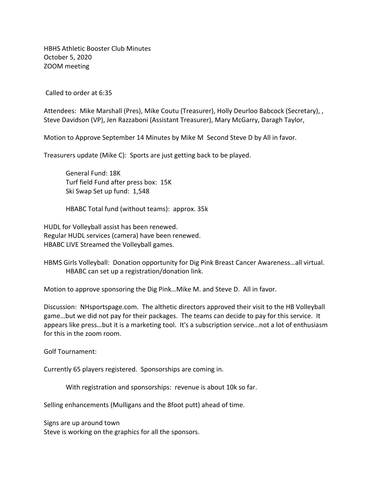HBHS Athletic Booster Club Minutes October 5, 2020 ZOOM meeting

Called to order at 6:35

Attendees: Mike Marshall (Pres), Mike Coutu (Treasurer), Holly Deurloo Babcock (Secretary), , Steve Davidson (VP), Jen Razzaboni (Assistant Treasurer), Mary McGarry, Daragh Taylor,

Motion to Approve September 14 Minutes by Mike M Second Steve D by All in favor.

Treasurers update (Mike C): Sports are just getting back to be played.

General Fund: 18K Turf field Fund after press box: 15K Ski Swap Set up fund: 1,548

HBABC Total fund (without teams): approx. 35k

HUDL for Volleyball assist has been renewed. Regular HUDL services (camera) have been renewed. HBABC LIVE Streamed the Volleyball games.

HBMS Girls Volleyball: Donation opportunity for Dig Pink Breast Cancer Awareness…all virtual. HBABC can set up a registration/donation link.

Motion to approve sponsoring the Dig Pink…Mike M. and Steve D. All in favor.

Discussion: NHsportspage.com. The althetic directors approved their visit to the HB Volleyball game…but we did not pay for their packages. The teams can decide to pay for this service. It appears like press…but it is a marketing tool. It's a subscription service…not a lot of enthusiasm for this in the zoom room.

Golf Tournament:

Currently 65 players registered. Sponsorships are coming in.

With registration and sponsorships: revenue is about 10k so far.

Selling enhancements (Mulligans and the 8foot putt) ahead of time.

Signs are up around town Steve is working on the graphics for all the sponsors.